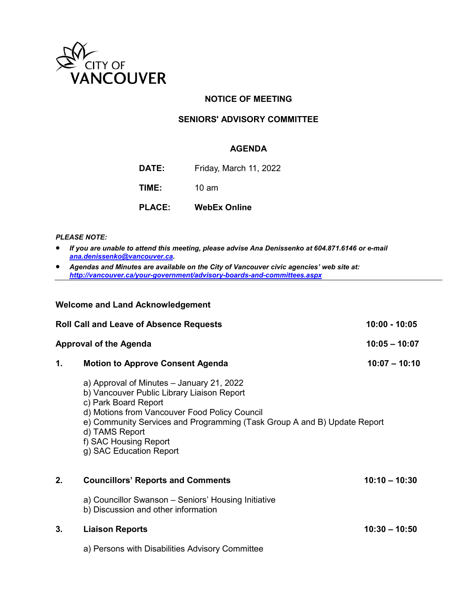

### **NOTICE OF MEETING**

#### **SENIORS' ADVISORY COMMITTEE**

#### **AGENDA**

**DATE:** Friday, March 11, 2022

**TIME:** 10 am

**PLACE: WebEx Online**

*PLEASE NOTE:*

- *If you are unable to attend this meeting, please advise Ana Denissenko at 604.871.6146 or e-mail [ana.denissenko@vancouver.ca.](mailto:ana.denissenko@vancouver.ca)*
- *Agendas and Minutes are available on the City of Vancouver civic agencies' web site at: <http://vancouver.ca/your-government/advisory-boards-and-committees.aspx>*

#### **Welcome and Land Acknowledgement**

| <b>Roll Call and Leave of Absence Requests</b> |                                                                                                                                                                                                                                                                                                                    | $10:00 - 10:05$ |
|------------------------------------------------|--------------------------------------------------------------------------------------------------------------------------------------------------------------------------------------------------------------------------------------------------------------------------------------------------------------------|-----------------|
|                                                | <b>Approval of the Agenda</b>                                                                                                                                                                                                                                                                                      | $10:05 - 10:07$ |
| 1.                                             | <b>Motion to Approve Consent Agenda</b>                                                                                                                                                                                                                                                                            | $10:07 - 10:10$ |
|                                                | a) Approval of Minutes - January 21, 2022<br>b) Vancouver Public Library Liaison Report<br>c) Park Board Report<br>d) Motions from Vancouver Food Policy Council<br>e) Community Services and Programming (Task Group A and B) Update Report<br>d) TAMS Report<br>f) SAC Housing Report<br>g) SAC Education Report |                 |
| 2.                                             | <b>Councillors' Reports and Comments</b>                                                                                                                                                                                                                                                                           | $10:10 - 10:30$ |
|                                                | a) Councillor Swanson – Seniors' Housing Initiative<br>b) Discussion and other information                                                                                                                                                                                                                         |                 |
| 3.                                             | <b>Liaison Reports</b>                                                                                                                                                                                                                                                                                             | $10:30 - 10:50$ |
|                                                | a) Persons with Disabilities Advisory Committee                                                                                                                                                                                                                                                                    |                 |